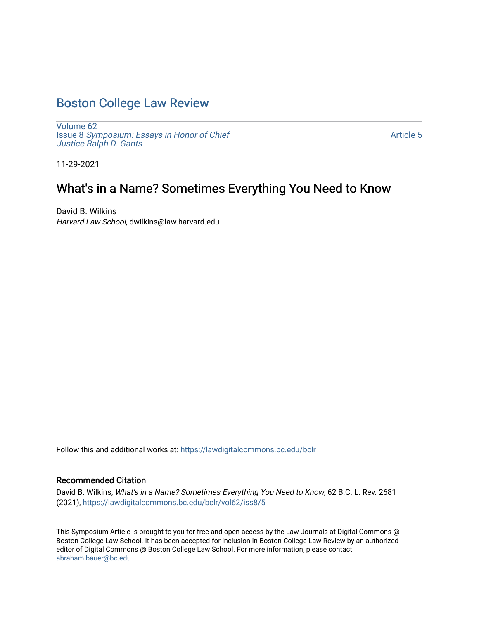# [Boston College Law Review](https://lawdigitalcommons.bc.edu/bclr)

[Volume 62](https://lawdigitalcommons.bc.edu/bclr/vol62) Issue 8 [Symposium: Essays in Honor of Chief](https://lawdigitalcommons.bc.edu/bclr/vol62/iss8)  Justice Ralph D. Gants

[Article 5](https://lawdigitalcommons.bc.edu/bclr/vol62/iss8/5) 

11-29-2021

## What's in a Name? Sometimes Everything You Need to Know

David B. Wilkins Harvard Law School, dwilkins@law.harvard.edu

Follow this and additional works at: [https://lawdigitalcommons.bc.edu/bclr](https://lawdigitalcommons.bc.edu/bclr?utm_source=lawdigitalcommons.bc.edu%2Fbclr%2Fvol62%2Fiss8%2F5&utm_medium=PDF&utm_campaign=PDFCoverPages) 

### Recommended Citation

David B. Wilkins, What's in a Name? Sometimes Everything You Need to Know, 62 B.C. L. Rev. 2681 (2021), [https://lawdigitalcommons.bc.edu/bclr/vol62/iss8/5](https://lawdigitalcommons.bc.edu/bclr/vol62/iss8/5?utm_source=lawdigitalcommons.bc.edu%2Fbclr%2Fvol62%2Fiss8%2F5&utm_medium=PDF&utm_campaign=PDFCoverPages)

This Symposium Article is brought to you for free and open access by the Law Journals at Digital Commons @ Boston College Law School. It has been accepted for inclusion in Boston College Law Review by an authorized editor of Digital Commons @ Boston College Law School. For more information, please contact [abraham.bauer@bc.edu.](mailto:abraham.bauer@bc.edu)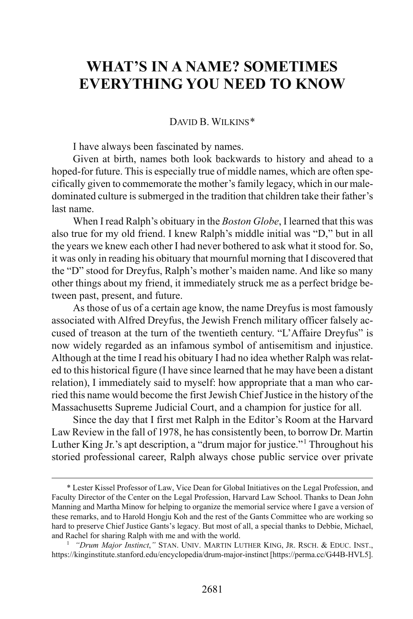## **WHAT'S IN A NAME? SOMETIMES EVERYTHING YOU NEED TO KNOW**

#### DAVID B. WILKINS[\\*](#page-1-0)

I have always been fascinated by names.

Given at birth, names both look backwards to history and ahead to a hoped-for future. This is especially true of middle names, which are often specifically given to commemorate the mother's family legacy, which in our maledominated culture is submerged in the tradition that children take their father's last name.

When I read Ralph's obituary in the *Boston Globe*, I learned that this was also true for my old friend. I knew Ralph's middle initial was "D," but in all the years we knew each other I had never bothered to ask what it stood for. So, it was only in reading his obituary that mournful morning that I discovered that the "D" stood for Dreyfus, Ralph's mother's maiden name. And like so many other things about my friend, it immediately struck me as a perfect bridge between past, present, and future.

As those of us of a certain age know, the name Dreyfus is most famously associated with Alfred Dreyfus, the Jewish French military officer falsely accused of treason at the turn of the twentieth century. "L'Affaire Dreyfus" is now widely regarded as an infamous symbol of antisemitism and injustice. Although at the time I read his obituary I had no idea whether Ralph was related to this historical figure (I have since learned that he may have been a distant relation), I immediately said to myself: how appropriate that a man who carried this name would become the first Jewish Chief Justice in the history of the Massachusetts Supreme Judicial Court, and a champion for justice for all.

Since the day that I first met Ralph in the Editor's Room at the Harvard Law Review in the fall of 1978, he has consistently been, to borrow Dr. Martin Luther King Jr.'s apt description, a "drum major for justice."[1](#page-1-1) Throughout his storied professional career, Ralph always chose public service over private

<span id="page-1-0"></span> <sup>\*</sup> Lester Kissel Professor of Law, Vice Dean for Global Initiatives on the Legal Profession, and Faculty Director of the Center on the Legal Profession, Harvard Law School. Thanks to Dean John Manning and Martha Minow for helping to organize the memorial service where I gave a version of these remarks, and to Harold Hongju Koh and the rest of the Gants Committee who are working so hard to preserve Chief Justice Gants's legacy. But most of all, a special thanks to Debbie, Michael, and Rachel for sharing Ralph with me and with the world.

<span id="page-1-1"></span><sup>&</sup>lt;sup>1</sup> "Drum Major Instinct," STAN. UNIV. MARTIN LUTHER KING, JR. RSCH. & EDUC. INST., https://kinginstitute.stanford.edu/encyclopedia/drum-major-instinct [https://perma.cc/G44B-HVL5].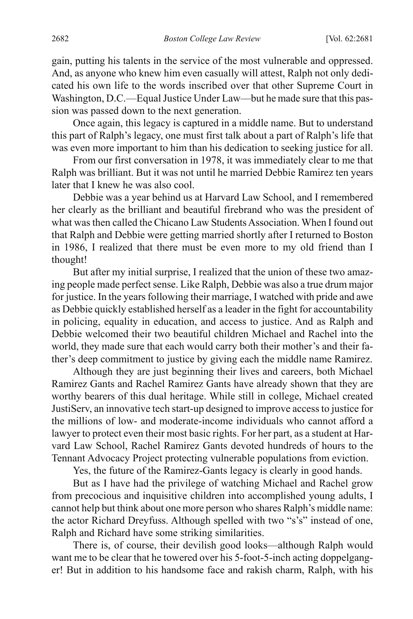gain, putting his talents in the service of the most vulnerable and oppressed. And, as anyone who knew him even casually will attest, Ralph not only dedicated his own life to the words inscribed over that other Supreme Court in Washington, D.C.––Equal Justice Under Law––but he made sure that this passion was passed down to the next generation.

Once again, this legacy is captured in a middle name. But to understand this part of Ralph's legacy, one must first talk about a part of Ralph's life that was even more important to him than his dedication to seeking justice for all.

From our first conversation in 1978, it was immediately clear to me that Ralph was brilliant. But it was not until he married Debbie Ramirez ten years later that I knew he was also cool.

Debbie was a year behind us at Harvard Law School, and I remembered her clearly as the brilliant and beautiful firebrand who was the president of what was then called the Chicano Law Students Association. When I found out that Ralph and Debbie were getting married shortly after I returned to Boston in 1986, I realized that there must be even more to my old friend than I thought!

But after my initial surprise, I realized that the union of these two amazing people made perfect sense. Like Ralph, Debbie was also a true drum major for justice. In the years following their marriage, I watched with pride and awe as Debbie quickly established herself as a leader in the fight for accountability in policing, equality in education, and access to justice. And as Ralph and Debbie welcomed their two beautiful children Michael and Rachel into the world, they made sure that each would carry both their mother's and their father's deep commitment to justice by giving each the middle name Ramirez.

Although they are just beginning their lives and careers, both Michael Ramirez Gants and Rachel Ramirez Gants have already shown that they are worthy bearers of this dual heritage. While still in college, Michael created JustiServ, an innovative tech start-up designed to improve access to justice for the millions of low- and moderate-income individuals who cannot afford a lawyer to protect even their most basic rights. For her part, as a student at Harvard Law School, Rachel Ramirez Gants devoted hundreds of hours to the Tennant Advocacy Project protecting vulnerable populations from eviction.

Yes, the future of the Ramirez-Gants legacy is clearly in good hands.

But as I have had the privilege of watching Michael and Rachel grow from precocious and inquisitive children into accomplished young adults, I cannot help but think about one more person who shares Ralph's middle name: the actor Richard Dreyfuss. Although spelled with two "s's" instead of one, Ralph and Richard have some striking similarities.

There is, of course, their devilish good looks––although Ralph would want me to be clear that he towered over his 5-foot-5-inch acting doppelganger! But in addition to his handsome face and rakish charm, Ralph, with his